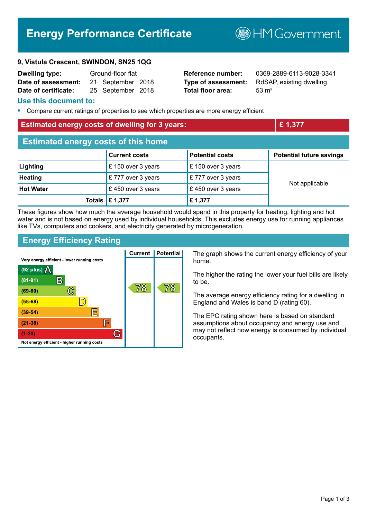# **Energy Performance Certificate**

**9, Vistula Crescent, SWINDON, SN25 1QG**

| <b>Dwelling type:</b> | Ground-floor flat |                   |  |
|-----------------------|-------------------|-------------------|--|
| Date of assessment:   |                   | 21 September 2018 |  |
| Date of certificate:  |                   | 25 September 2018 |  |

**Total floor area:** 53 m<sup>2</sup>

**Reference number:** 0369-2889-6113-9028-3341 **Type of assessment:** RdSAP, existing dwelling

#### **Use this document to:**

**•** Compare current ratings of properties to see which properties are more energy efficient

#### **Estimated energy costs of dwelling for 3 years: Example 2 and 2 and 2 and 2 and 2 and 2 and 2 and 2 and 2 and 2 and 2 and 2 and 2 and 2 and 2 and 2 and 2 and 2 and 2 and 2 and 2 and 2 and 2 and 2 and 2 and 2 and 2 and 2**

| <b>Estimated energy costs of this home</b> |                           |                        |                                 |  |
|--------------------------------------------|---------------------------|------------------------|---------------------------------|--|
|                                            | <b>Current costs</b>      | <b>Potential costs</b> | <b>Potential future savings</b> |  |
| Lighting                                   | £ 150 over 3 years        | £ 150 over 3 years     |                                 |  |
| <b>Heating</b>                             | £777 over 3 years         | £777 over 3 years      |                                 |  |
| <b>Hot Water</b>                           | £450 over 3 years         | £450 over 3 years      | Not applicable                  |  |
|                                            | Totals $\mathsf{E}$ 1,377 | £1,377                 |                                 |  |

These figures show how much the average household would spend in this property for heating, lighting and hot water and is not based on energy used by individual households. This excludes energy use for running appliances like TVs, computers and cookers, and electricity generated by microgeneration.

#### **Energy Efficiency Rating**



**B**HMGovernment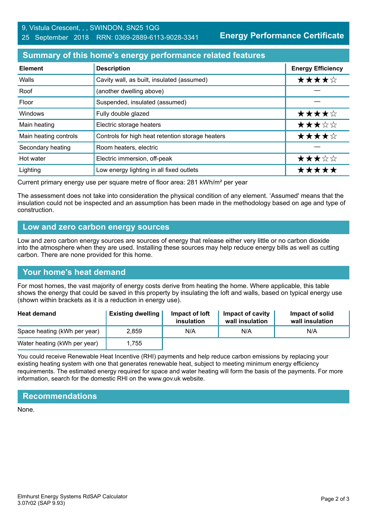**Energy Performance Certificate**

## **Summary of this home's energy performance related features**

| <b>Element</b>        | <b>Description</b>                               | <b>Energy Efficiency</b> |
|-----------------------|--------------------------------------------------|--------------------------|
| Walls                 | Cavity wall, as built, insulated (assumed)       | ★★★★☆                    |
| Roof                  | (another dwelling above)                         |                          |
| Floor                 | Suspended, insulated (assumed)                   |                          |
| <b>Windows</b>        | Fully double glazed                              | ★★★★☆                    |
| Main heating          | Electric storage heaters                         | ★★★☆☆                    |
| Main heating controls | Controls for high heat retention storage heaters | ★★★★☆                    |
| Secondary heating     | Room heaters, electric                           |                          |
| Hot water             | Electric immersion, off-peak                     | ★★★☆☆                    |
| Lighting              | Low energy lighting in all fixed outlets         | *****                    |

Current primary energy use per square metre of floor area: 281 kWh/m² per year

The assessment does not take into consideration the physical condition of any element. 'Assumed' means that the insulation could not be inspected and an assumption has been made in the methodology based on age and type of construction.

#### **Low and zero carbon energy sources**

Low and zero carbon energy sources are sources of energy that release either very little or no carbon dioxide into the atmosphere when they are used. Installing these sources may help reduce energy bills as well as cutting carbon. There are none provided for this home.

## **Your home's heat demand**

For most homes, the vast majority of energy costs derive from heating the home. Where applicable, this table shows the energy that could be saved in this property by insulating the loft and walls, based on typical energy use (shown within brackets as it is a reduction in energy use).

| <b>Heat demand</b>           | <b>Existing dwelling</b> | Impact of loft<br>insulation | Impact of cavity<br>wall insulation | Impact of solid<br>wall insulation |
|------------------------------|--------------------------|------------------------------|-------------------------------------|------------------------------------|
| Space heating (kWh per year) | 2.859                    | N/A                          | N/A                                 | N/A                                |
| Water heating (kWh per year) | l.755                    |                              |                                     |                                    |

You could receive Renewable Heat Incentive (RHI) payments and help reduce carbon emissions by replacing your existing heating system with one that generates renewable heat, subject to meeting minimum energy efficiency requirements. The estimated energy required for space and water heating will form the basis of the payments. For more information, search for the domestic RHI on the www.gov.uk website.

## **Recommendations**

None.